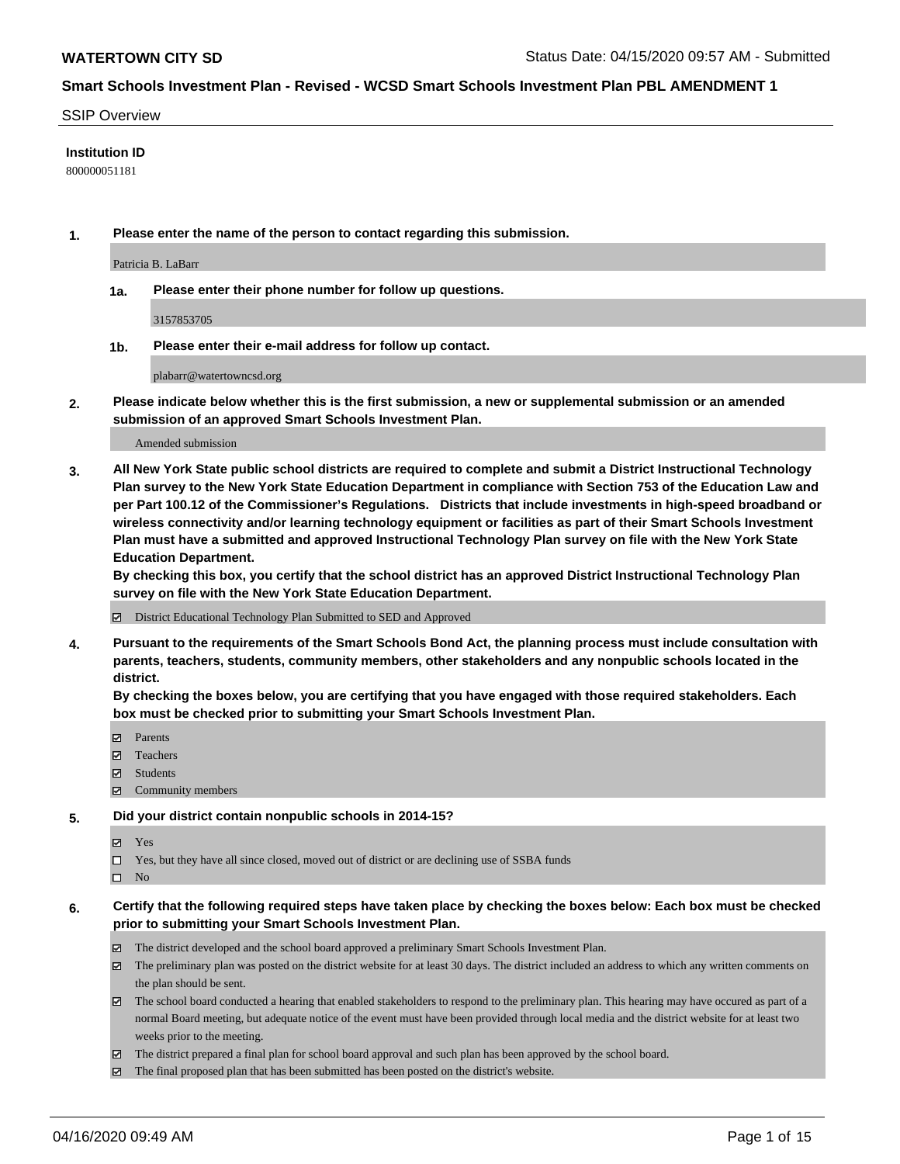#### SSIP Overview

## **Institution ID**

800000051181

**1. Please enter the name of the person to contact regarding this submission.**

Patricia B. LaBarr

**1a. Please enter their phone number for follow up questions.**

3157853705

**1b. Please enter their e-mail address for follow up contact.**

plabarr@watertowncsd.org

**2. Please indicate below whether this is the first submission, a new or supplemental submission or an amended submission of an approved Smart Schools Investment Plan.**

#### Amended submission

**3. All New York State public school districts are required to complete and submit a District Instructional Technology Plan survey to the New York State Education Department in compliance with Section 753 of the Education Law and per Part 100.12 of the Commissioner's Regulations. Districts that include investments in high-speed broadband or wireless connectivity and/or learning technology equipment or facilities as part of their Smart Schools Investment Plan must have a submitted and approved Instructional Technology Plan survey on file with the New York State Education Department.** 

**By checking this box, you certify that the school district has an approved District Instructional Technology Plan survey on file with the New York State Education Department.**

District Educational Technology Plan Submitted to SED and Approved

**4. Pursuant to the requirements of the Smart Schools Bond Act, the planning process must include consultation with parents, teachers, students, community members, other stakeholders and any nonpublic schools located in the district.** 

**By checking the boxes below, you are certifying that you have engaged with those required stakeholders. Each box must be checked prior to submitting your Smart Schools Investment Plan.**

- **マ** Parents
- Teachers
- Students
- $\Xi$  Community members

#### **5. Did your district contain nonpublic schools in 2014-15?**

**冈** Yes

Yes, but they have all since closed, moved out of district or are declining use of SSBA funds

 $\square$  No

- **6. Certify that the following required steps have taken place by checking the boxes below: Each box must be checked prior to submitting your Smart Schools Investment Plan.**
	- The district developed and the school board approved a preliminary Smart Schools Investment Plan.
	- $\boxtimes$  The preliminary plan was posted on the district website for at least 30 days. The district included an address to which any written comments on the plan should be sent.
	- $\boxtimes$  The school board conducted a hearing that enabled stakeholders to respond to the preliminary plan. This hearing may have occured as part of a normal Board meeting, but adequate notice of the event must have been provided through local media and the district website for at least two weeks prior to the meeting.
	- The district prepared a final plan for school board approval and such plan has been approved by the school board.
	- $\boxtimes$  The final proposed plan that has been submitted has been posted on the district's website.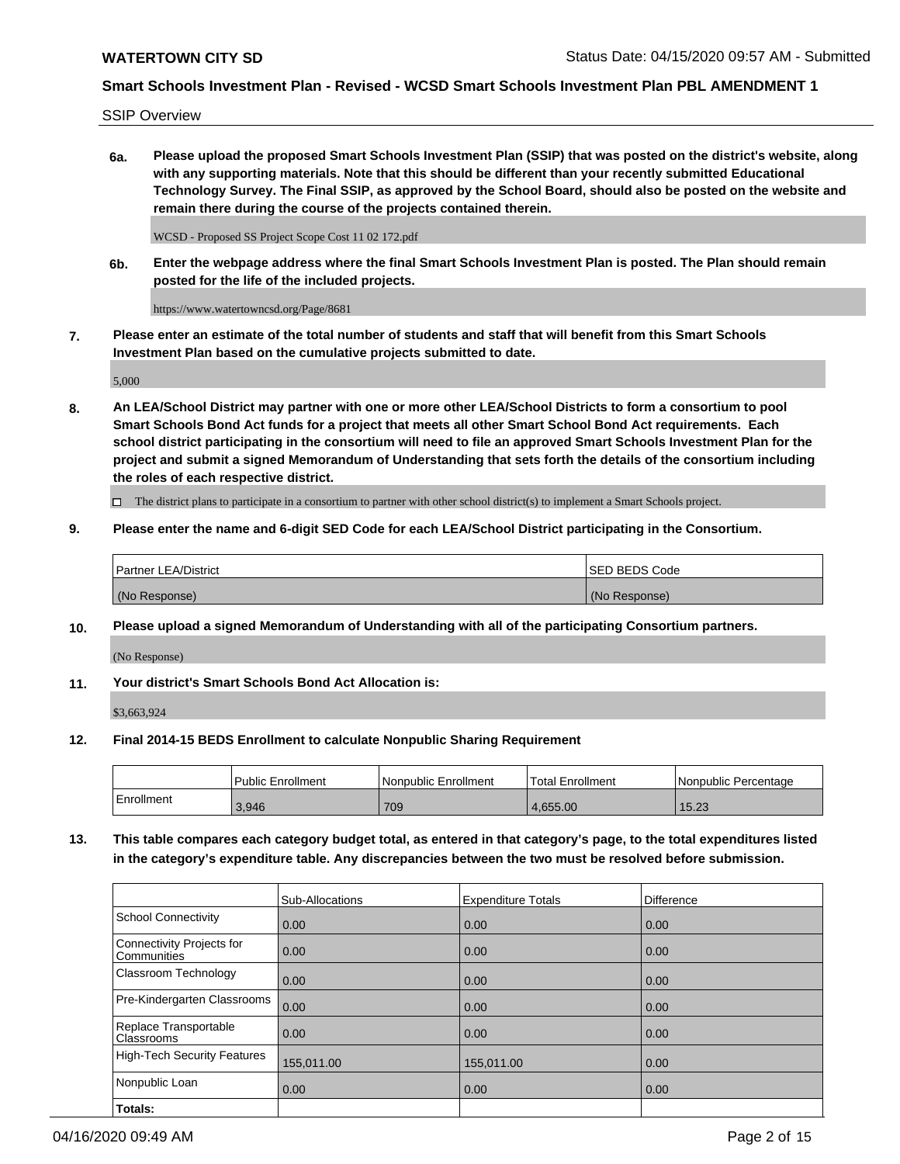SSIP Overview

**6a. Please upload the proposed Smart Schools Investment Plan (SSIP) that was posted on the district's website, along with any supporting materials. Note that this should be different than your recently submitted Educational Technology Survey. The Final SSIP, as approved by the School Board, should also be posted on the website and remain there during the course of the projects contained therein.**

WCSD - Proposed SS Project Scope Cost 11 02 172.pdf

**6b. Enter the webpage address where the final Smart Schools Investment Plan is posted. The Plan should remain posted for the life of the included projects.**

https://www.watertowncsd.org/Page/8681

**7. Please enter an estimate of the total number of students and staff that will benefit from this Smart Schools Investment Plan based on the cumulative projects submitted to date.**

5,000

**8. An LEA/School District may partner with one or more other LEA/School Districts to form a consortium to pool Smart Schools Bond Act funds for a project that meets all other Smart School Bond Act requirements. Each school district participating in the consortium will need to file an approved Smart Schools Investment Plan for the project and submit a signed Memorandum of Understanding that sets forth the details of the consortium including the roles of each respective district.**

 $\Box$  The district plans to participate in a consortium to partner with other school district(s) to implement a Smart Schools project.

## **9. Please enter the name and 6-digit SED Code for each LEA/School District participating in the Consortium.**

| Partner LEA/District | <b>ISED BEDS Code</b> |
|----------------------|-----------------------|
| (No Response)        | (No Response)         |

## **10. Please upload a signed Memorandum of Understanding with all of the participating Consortium partners.**

(No Response)

**11. Your district's Smart Schools Bond Act Allocation is:**

\$3,663,924

#### **12. Final 2014-15 BEDS Enrollment to calculate Nonpublic Sharing Requirement**

|            | Public Enrollment | Nonpublic Enrollment | Total Enrollment | l Nonpublic Percentage |
|------------|-------------------|----------------------|------------------|------------------------|
| Enrollment | 3,946             | 709                  | 4.655.00         | 15.00<br>15.Z3         |

**13. This table compares each category budget total, as entered in that category's page, to the total expenditures listed in the category's expenditure table. Any discrepancies between the two must be resolved before submission.**

|                                          | Sub-Allocations | <b>Expenditure Totals</b> | Difference |
|------------------------------------------|-----------------|---------------------------|------------|
| <b>School Connectivity</b>               | 0.00            | 0.00                      | 0.00       |
| Connectivity Projects for<br>Communities | 0.00            | 0.00                      | 0.00       |
| Classroom Technology                     | 0.00            | 0.00                      | 0.00       |
| Pre-Kindergarten Classrooms              | 0.00            | 0.00                      | 0.00       |
| Replace Transportable<br>Classrooms      | 0.00            | 0.00                      | 0.00       |
| <b>High-Tech Security Features</b>       | 155,011.00      | 155,011.00                | 0.00       |
| Nonpublic Loan                           | 0.00            | 0.00                      | 0.00       |
| Totals:                                  |                 |                           |            |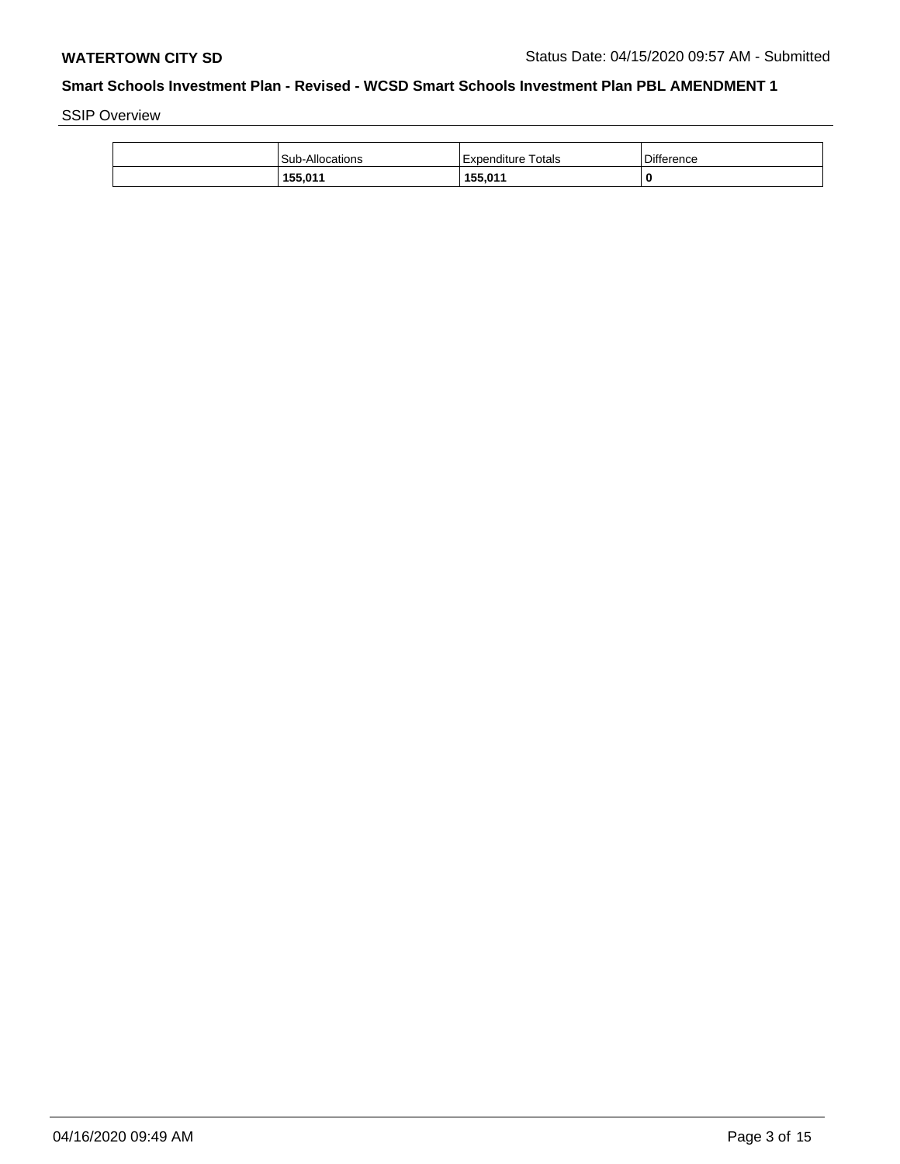SSIP Overview

| Sub-Allocations | Expenditure Totals | Difference |
|-----------------|--------------------|------------|
| 155,011         | 155,011            | 0          |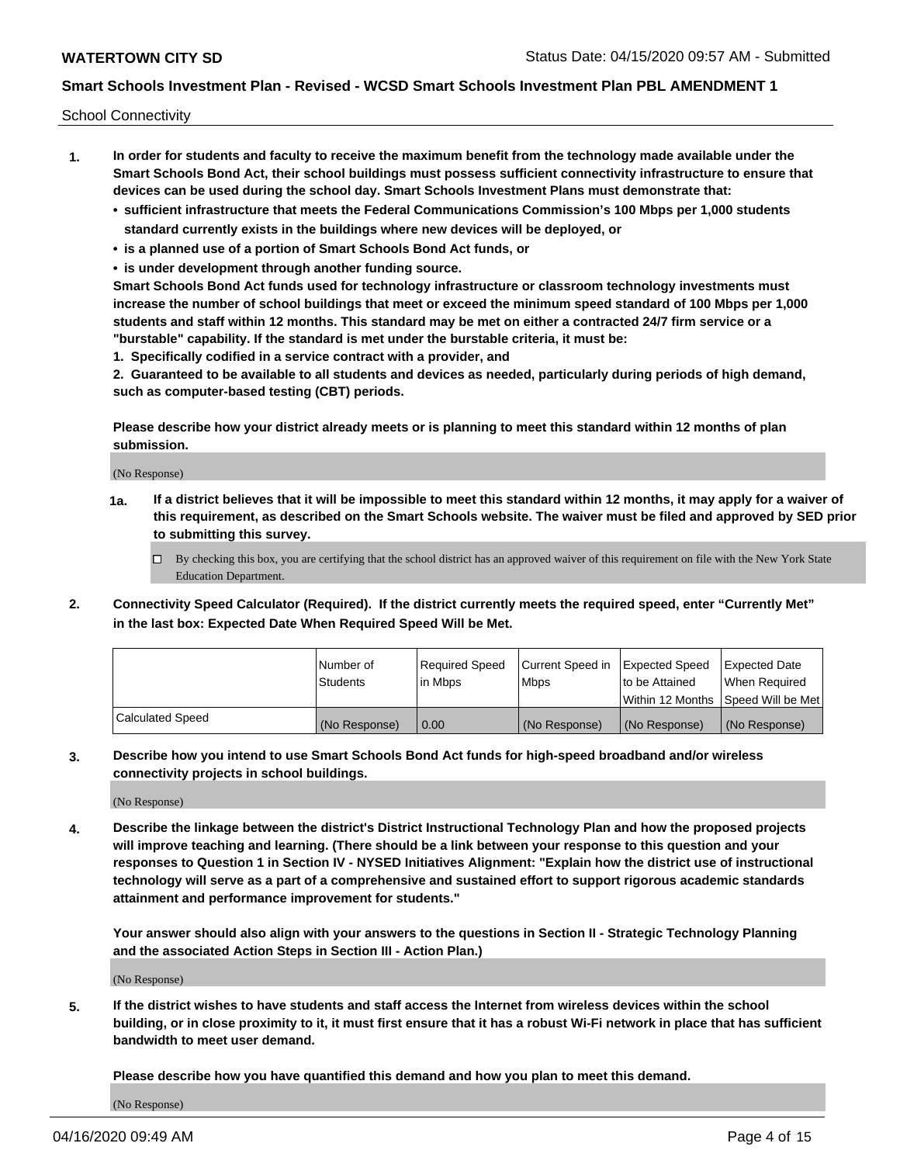School Connectivity

- **1. In order for students and faculty to receive the maximum benefit from the technology made available under the Smart Schools Bond Act, their school buildings must possess sufficient connectivity infrastructure to ensure that devices can be used during the school day. Smart Schools Investment Plans must demonstrate that:**
	- **• sufficient infrastructure that meets the Federal Communications Commission's 100 Mbps per 1,000 students standard currently exists in the buildings where new devices will be deployed, or**
	- **• is a planned use of a portion of Smart Schools Bond Act funds, or**
	- **• is under development through another funding source.**

**Smart Schools Bond Act funds used for technology infrastructure or classroom technology investments must increase the number of school buildings that meet or exceed the minimum speed standard of 100 Mbps per 1,000 students and staff within 12 months. This standard may be met on either a contracted 24/7 firm service or a "burstable" capability. If the standard is met under the burstable criteria, it must be:**

**1. Specifically codified in a service contract with a provider, and**

**2. Guaranteed to be available to all students and devices as needed, particularly during periods of high demand, such as computer-based testing (CBT) periods.**

**Please describe how your district already meets or is planning to meet this standard within 12 months of plan submission.**

(No Response)

**1a. If a district believes that it will be impossible to meet this standard within 12 months, it may apply for a waiver of this requirement, as described on the Smart Schools website. The waiver must be filed and approved by SED prior to submitting this survey.**

 $\Box$  By checking this box, you are certifying that the school district has an approved waiver of this requirement on file with the New York State Education Department.

**2. Connectivity Speed Calculator (Required). If the district currently meets the required speed, enter "Currently Met" in the last box: Expected Date When Required Speed Will be Met.**

|                  | l Number of     | Required Speed | Current Speed in | Expected Speed | Expected Date                        |
|------------------|-----------------|----------------|------------------|----------------|--------------------------------------|
|                  | <b>Students</b> | In Mbps        | <b>Mbps</b>      | to be Attained | When Required                        |
|                  |                 |                |                  |                | Within 12 Months 1Speed Will be Met1 |
| Calculated Speed | (No Response)   | 0.00           | (No Response)    | (No Response)  | l (No Response)                      |

**3. Describe how you intend to use Smart Schools Bond Act funds for high-speed broadband and/or wireless connectivity projects in school buildings.**

(No Response)

**4. Describe the linkage between the district's District Instructional Technology Plan and how the proposed projects will improve teaching and learning. (There should be a link between your response to this question and your responses to Question 1 in Section IV - NYSED Initiatives Alignment: "Explain how the district use of instructional technology will serve as a part of a comprehensive and sustained effort to support rigorous academic standards attainment and performance improvement for students."** 

**Your answer should also align with your answers to the questions in Section II - Strategic Technology Planning and the associated Action Steps in Section III - Action Plan.)**

(No Response)

**5. If the district wishes to have students and staff access the Internet from wireless devices within the school building, or in close proximity to it, it must first ensure that it has a robust Wi-Fi network in place that has sufficient bandwidth to meet user demand.**

**Please describe how you have quantified this demand and how you plan to meet this demand.**

(No Response)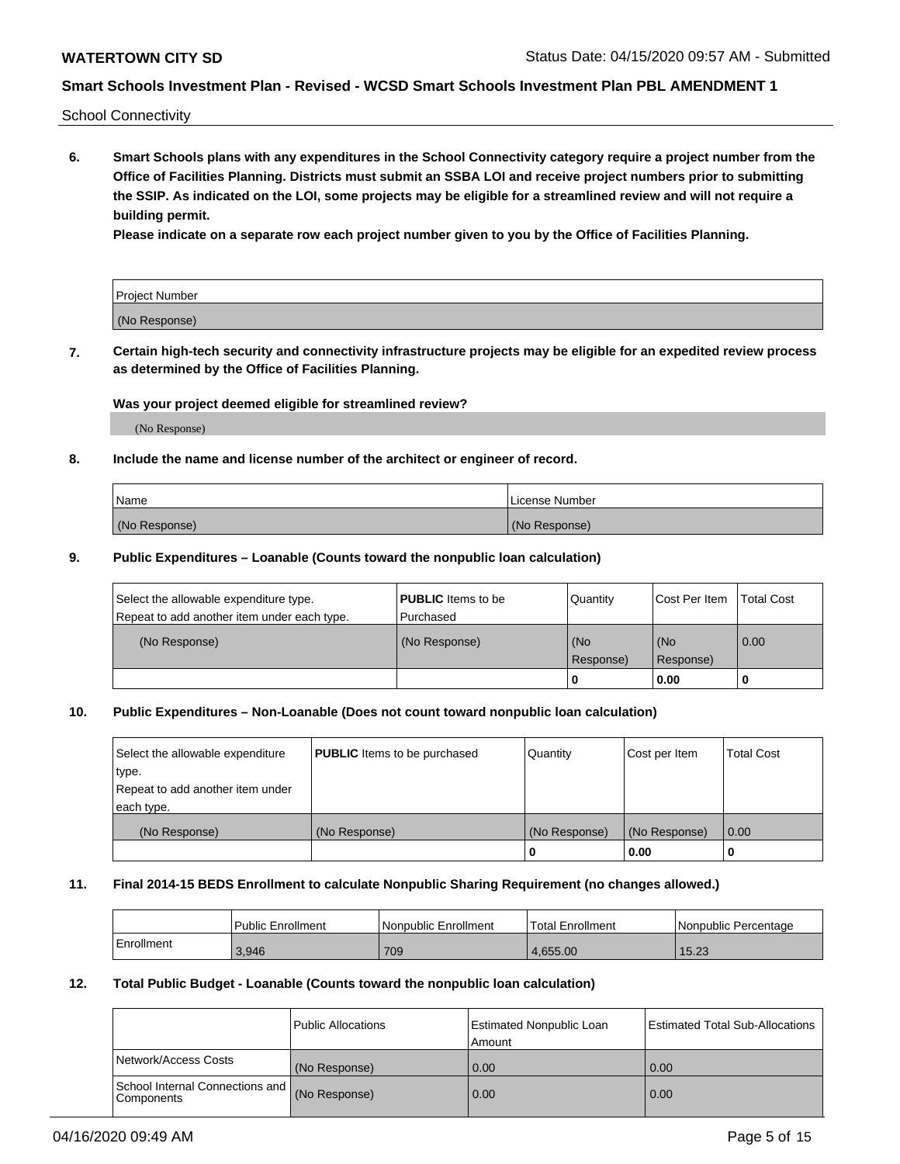School Connectivity

**6. Smart Schools plans with any expenditures in the School Connectivity category require a project number from the Office of Facilities Planning. Districts must submit an SSBA LOI and receive project numbers prior to submitting the SSIP. As indicated on the LOI, some projects may be eligible for a streamlined review and will not require a building permit.**

**Please indicate on a separate row each project number given to you by the Office of Facilities Planning.**

| Project Number |  |
|----------------|--|
| (No Response)  |  |

**7. Certain high-tech security and connectivity infrastructure projects may be eligible for an expedited review process as determined by the Office of Facilities Planning.**

#### **Was your project deemed eligible for streamlined review?**

(No Response)

## **8. Include the name and license number of the architect or engineer of record.**

| Name          | License Number |
|---------------|----------------|
| (No Response) | (No Response)  |

#### **9. Public Expenditures – Loanable (Counts toward the nonpublic loan calculation)**

| Select the allowable expenditure type.<br>Repeat to add another item under each type. | <b>PUBLIC</b> Items to be<br>l Purchased | Quantity           | Cost Per Item    | <b>Total Cost</b> |
|---------------------------------------------------------------------------------------|------------------------------------------|--------------------|------------------|-------------------|
| (No Response)                                                                         | (No Response)                            | l (No<br>Response) | (No<br>Response) | $\overline{0.00}$ |
|                                                                                       |                                          | 0                  | 0.00             |                   |

## **10. Public Expenditures – Non-Loanable (Does not count toward nonpublic loan calculation)**

| Select the allowable expenditure<br>type.<br>Repeat to add another item under<br>each type. | <b>PUBLIC</b> Items to be purchased | Quantity      | Cost per Item | <b>Total Cost</b> |
|---------------------------------------------------------------------------------------------|-------------------------------------|---------------|---------------|-------------------|
| (No Response)                                                                               | (No Response)                       | (No Response) | (No Response) | 0.00              |
|                                                                                             |                                     |               | 0.00          |                   |

#### **11. Final 2014-15 BEDS Enrollment to calculate Nonpublic Sharing Requirement (no changes allowed.)**

|            | Public Enrollment | Nonpublic Enrollment | 'Total Enrollment | l Nonpublic Percentage |
|------------|-------------------|----------------------|-------------------|------------------------|
| Enrollment | 3,946             | 709                  | 4.655.00          | 15.23                  |

## **12. Total Public Budget - Loanable (Counts toward the nonpublic loan calculation)**

|                                                      | Public Allocations | <b>Estimated Nonpublic Loan</b><br>Amount | Estimated Total Sub-Allocations |
|------------------------------------------------------|--------------------|-------------------------------------------|---------------------------------|
| Network/Access Costs                                 | (No Response)      | 0.00                                      | 0.00                            |
| School Internal Connections and<br><b>Components</b> | (No Response)      | 0.00                                      | 0.00                            |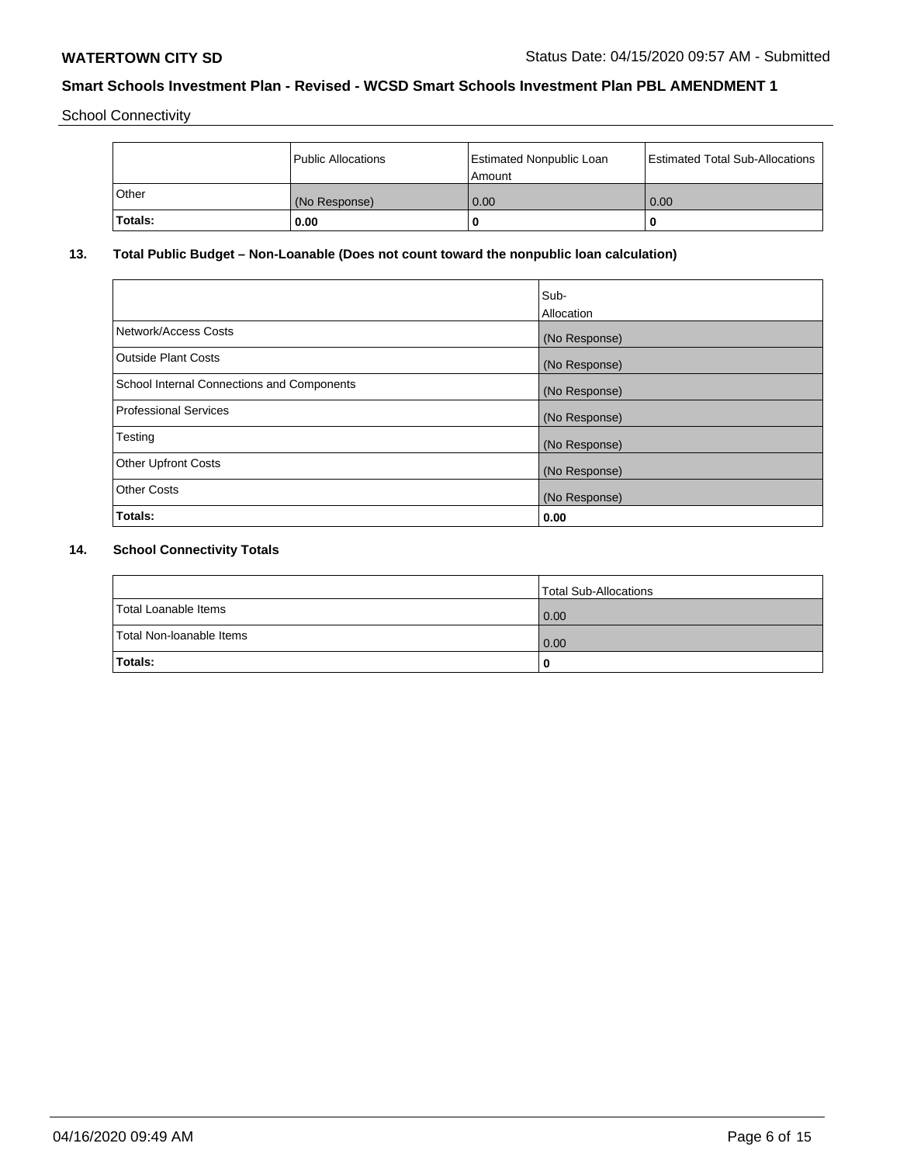School Connectivity

|                | Public Allocations | <b>Estimated Nonpublic Loan</b><br>Amount | <b>Estimated Total Sub-Allocations</b> |
|----------------|--------------------|-------------------------------------------|----------------------------------------|
| l Other        | (No Response)      | 0.00                                      | 0.00                                   |
| <b>Totals:</b> | 0.00               | 0                                         |                                        |

# **13. Total Public Budget – Non-Loanable (Does not count toward the nonpublic loan calculation)**

|                                                   | Sub-<br>Allocation |
|---------------------------------------------------|--------------------|
|                                                   |                    |
| Network/Access Costs                              | (No Response)      |
| <b>Outside Plant Costs</b>                        | (No Response)      |
| <b>School Internal Connections and Components</b> | (No Response)      |
| Professional Services                             | (No Response)      |
| Testing                                           | (No Response)      |
| <b>Other Upfront Costs</b>                        | (No Response)      |
| <b>Other Costs</b>                                | (No Response)      |
| <b>Totals:</b>                                    | 0.00               |

# **14. School Connectivity Totals**

|                          | Total Sub-Allocations |
|--------------------------|-----------------------|
| Total Loanable Items     | 0.00                  |
| Total Non-Ioanable Items | 0.00                  |
| Totals:                  | 0                     |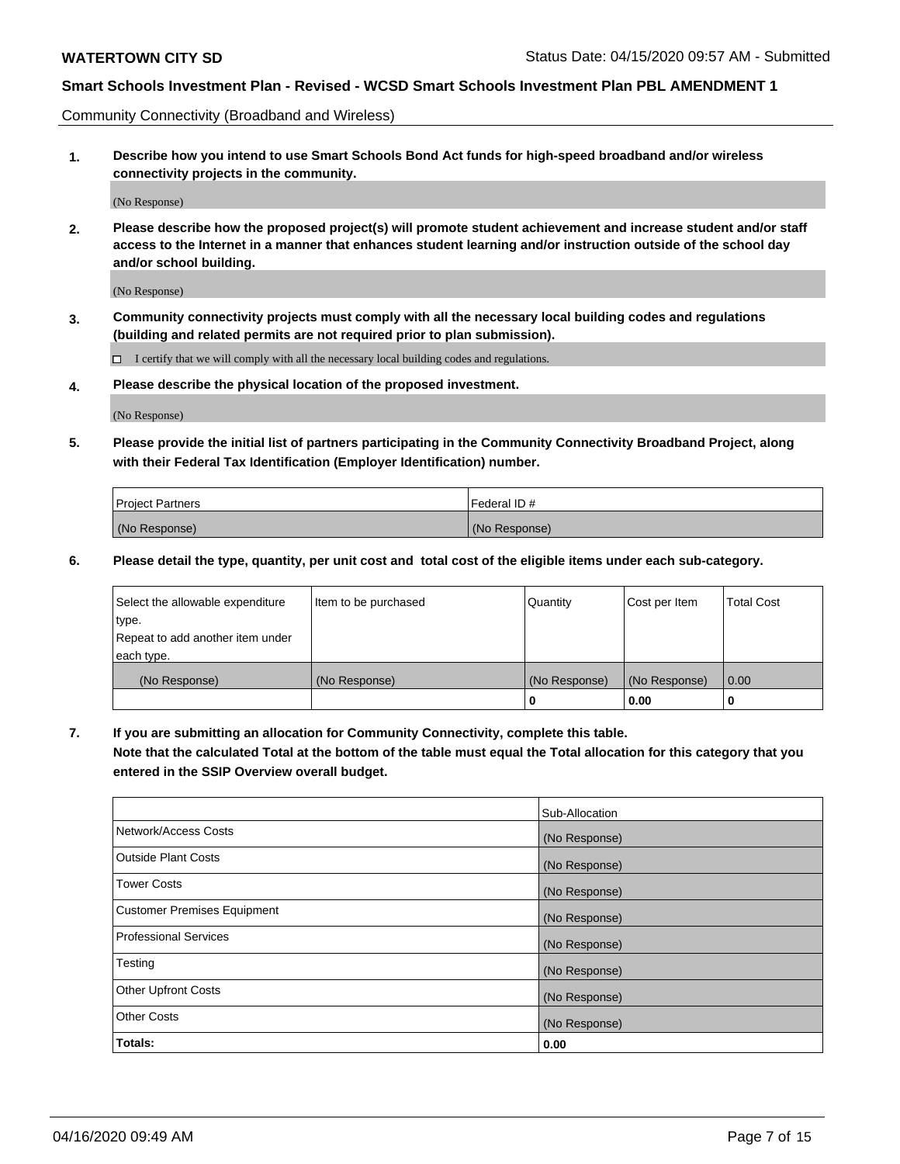Community Connectivity (Broadband and Wireless)

**1. Describe how you intend to use Smart Schools Bond Act funds for high-speed broadband and/or wireless connectivity projects in the community.**

(No Response)

**2. Please describe how the proposed project(s) will promote student achievement and increase student and/or staff access to the Internet in a manner that enhances student learning and/or instruction outside of the school day and/or school building.**

(No Response)

**3. Community connectivity projects must comply with all the necessary local building codes and regulations (building and related permits are not required prior to plan submission).**

 $\Box$  I certify that we will comply with all the necessary local building codes and regulations.

**4. Please describe the physical location of the proposed investment.**

(No Response)

**5. Please provide the initial list of partners participating in the Community Connectivity Broadband Project, along with their Federal Tax Identification (Employer Identification) number.**

| <b>Project Partners</b> | l Federal ID # |
|-------------------------|----------------|
| (No Response)           | (No Response)  |

**6. Please detail the type, quantity, per unit cost and total cost of the eligible items under each sub-category.**

| Select the allowable expenditure | Item to be purchased | Quantity      | Cost per Item | <b>Total Cost</b> |
|----------------------------------|----------------------|---------------|---------------|-------------------|
| type.                            |                      |               |               |                   |
| Repeat to add another item under |                      |               |               |                   |
| each type.                       |                      |               |               |                   |
| (No Response)                    | (No Response)        | (No Response) | (No Response) | 0.00              |
|                                  |                      | o             | 0.00          |                   |

**7. If you are submitting an allocation for Community Connectivity, complete this table.**

**Note that the calculated Total at the bottom of the table must equal the Total allocation for this category that you entered in the SSIP Overview overall budget.**

|                                    | Sub-Allocation |
|------------------------------------|----------------|
| Network/Access Costs               | (No Response)  |
| Outside Plant Costs                | (No Response)  |
| <b>Tower Costs</b>                 | (No Response)  |
| <b>Customer Premises Equipment</b> | (No Response)  |
| <b>Professional Services</b>       | (No Response)  |
| Testing                            | (No Response)  |
| <b>Other Upfront Costs</b>         | (No Response)  |
| <b>Other Costs</b>                 | (No Response)  |
| Totals:                            | 0.00           |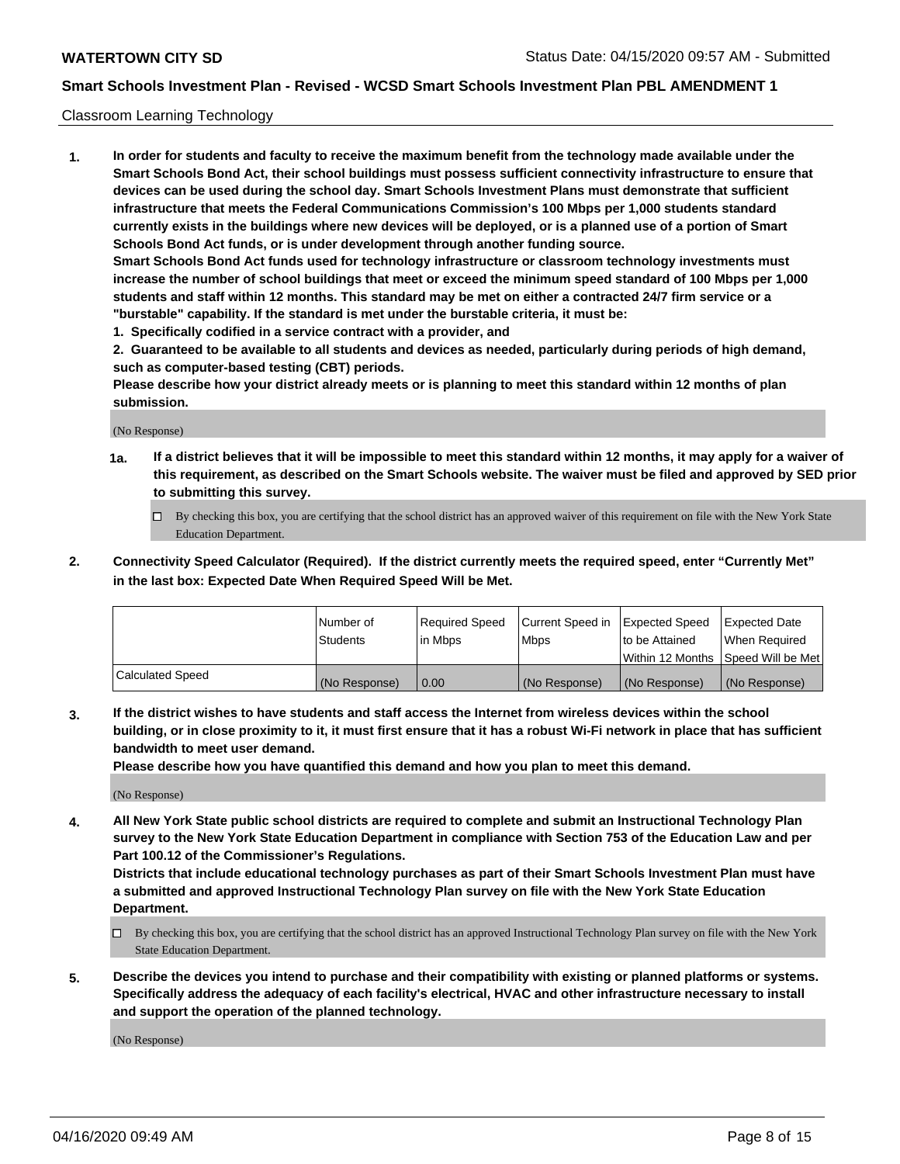#### Classroom Learning Technology

**1. In order for students and faculty to receive the maximum benefit from the technology made available under the Smart Schools Bond Act, their school buildings must possess sufficient connectivity infrastructure to ensure that devices can be used during the school day. Smart Schools Investment Plans must demonstrate that sufficient infrastructure that meets the Federal Communications Commission's 100 Mbps per 1,000 students standard currently exists in the buildings where new devices will be deployed, or is a planned use of a portion of Smart Schools Bond Act funds, or is under development through another funding source. Smart Schools Bond Act funds used for technology infrastructure or classroom technology investments must increase the number of school buildings that meet or exceed the minimum speed standard of 100 Mbps per 1,000 students and staff within 12 months. This standard may be met on either a contracted 24/7 firm service or a "burstable" capability. If the standard is met under the burstable criteria, it must be:**

**1. Specifically codified in a service contract with a provider, and**

**2. Guaranteed to be available to all students and devices as needed, particularly during periods of high demand, such as computer-based testing (CBT) periods.**

**Please describe how your district already meets or is planning to meet this standard within 12 months of plan submission.**

(No Response)

- **1a. If a district believes that it will be impossible to meet this standard within 12 months, it may apply for a waiver of this requirement, as described on the Smart Schools website. The waiver must be filed and approved by SED prior to submitting this survey.**
	- By checking this box, you are certifying that the school district has an approved waiver of this requirement on file with the New York State Education Department.
- **2. Connectivity Speed Calculator (Required). If the district currently meets the required speed, enter "Currently Met" in the last box: Expected Date When Required Speed Will be Met.**

|                  | l Number of     | Required Speed | Current Speed in | <b>Expected Speed</b> | <b>Expected Date</b>                |
|------------------|-----------------|----------------|------------------|-----------------------|-------------------------------------|
|                  | <b>Students</b> | l in Mbps      | l Mbps           | to be Attained        | When Required                       |
|                  |                 |                |                  |                       | Within 12 Months  Speed Will be Met |
| Calculated Speed | (No Response)   | 0.00           | (No Response)    | l (No Response)       | (No Response)                       |

**3. If the district wishes to have students and staff access the Internet from wireless devices within the school building, or in close proximity to it, it must first ensure that it has a robust Wi-Fi network in place that has sufficient bandwidth to meet user demand.**

**Please describe how you have quantified this demand and how you plan to meet this demand.**

(No Response)

**4. All New York State public school districts are required to complete and submit an Instructional Technology Plan survey to the New York State Education Department in compliance with Section 753 of the Education Law and per Part 100.12 of the Commissioner's Regulations.**

**Districts that include educational technology purchases as part of their Smart Schools Investment Plan must have a submitted and approved Instructional Technology Plan survey on file with the New York State Education Department.**

- By checking this box, you are certifying that the school district has an approved Instructional Technology Plan survey on file with the New York State Education Department.
- **5. Describe the devices you intend to purchase and their compatibility with existing or planned platforms or systems. Specifically address the adequacy of each facility's electrical, HVAC and other infrastructure necessary to install and support the operation of the planned technology.**

(No Response)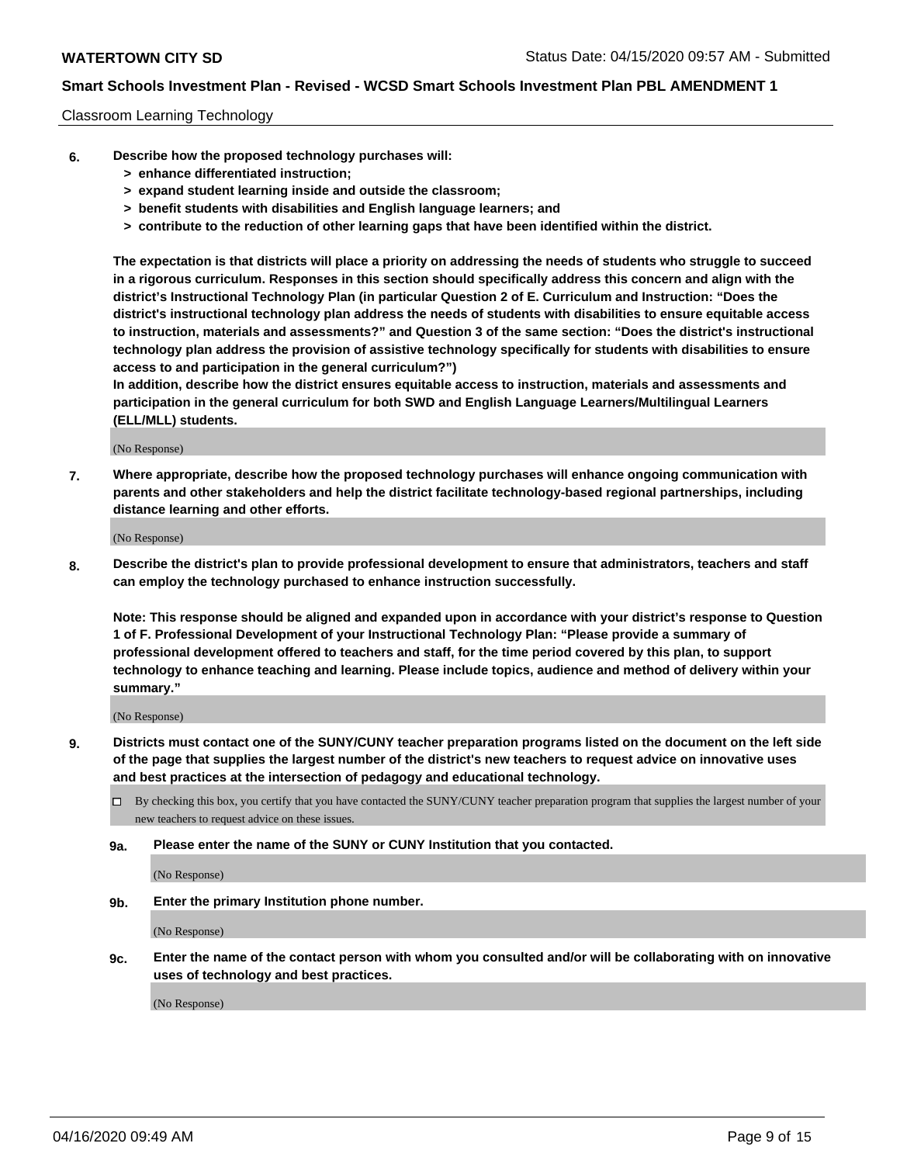#### Classroom Learning Technology

- **6. Describe how the proposed technology purchases will:**
	- **> enhance differentiated instruction;**
	- **> expand student learning inside and outside the classroom;**
	- **> benefit students with disabilities and English language learners; and**
	- **> contribute to the reduction of other learning gaps that have been identified within the district.**

**The expectation is that districts will place a priority on addressing the needs of students who struggle to succeed in a rigorous curriculum. Responses in this section should specifically address this concern and align with the district's Instructional Technology Plan (in particular Question 2 of E. Curriculum and Instruction: "Does the district's instructional technology plan address the needs of students with disabilities to ensure equitable access to instruction, materials and assessments?" and Question 3 of the same section: "Does the district's instructional technology plan address the provision of assistive technology specifically for students with disabilities to ensure access to and participation in the general curriculum?")**

**In addition, describe how the district ensures equitable access to instruction, materials and assessments and participation in the general curriculum for both SWD and English Language Learners/Multilingual Learners (ELL/MLL) students.**

(No Response)

**7. Where appropriate, describe how the proposed technology purchases will enhance ongoing communication with parents and other stakeholders and help the district facilitate technology-based regional partnerships, including distance learning and other efforts.**

(No Response)

**8. Describe the district's plan to provide professional development to ensure that administrators, teachers and staff can employ the technology purchased to enhance instruction successfully.**

**Note: This response should be aligned and expanded upon in accordance with your district's response to Question 1 of F. Professional Development of your Instructional Technology Plan: "Please provide a summary of professional development offered to teachers and staff, for the time period covered by this plan, to support technology to enhance teaching and learning. Please include topics, audience and method of delivery within your summary."**

(No Response)

- **9. Districts must contact one of the SUNY/CUNY teacher preparation programs listed on the document on the left side of the page that supplies the largest number of the district's new teachers to request advice on innovative uses and best practices at the intersection of pedagogy and educational technology.**
	- By checking this box, you certify that you have contacted the SUNY/CUNY teacher preparation program that supplies the largest number of your new teachers to request advice on these issues.
	- **9a. Please enter the name of the SUNY or CUNY Institution that you contacted.**

(No Response)

**9b. Enter the primary Institution phone number.**

(No Response)

**9c. Enter the name of the contact person with whom you consulted and/or will be collaborating with on innovative uses of technology and best practices.**

(No Response)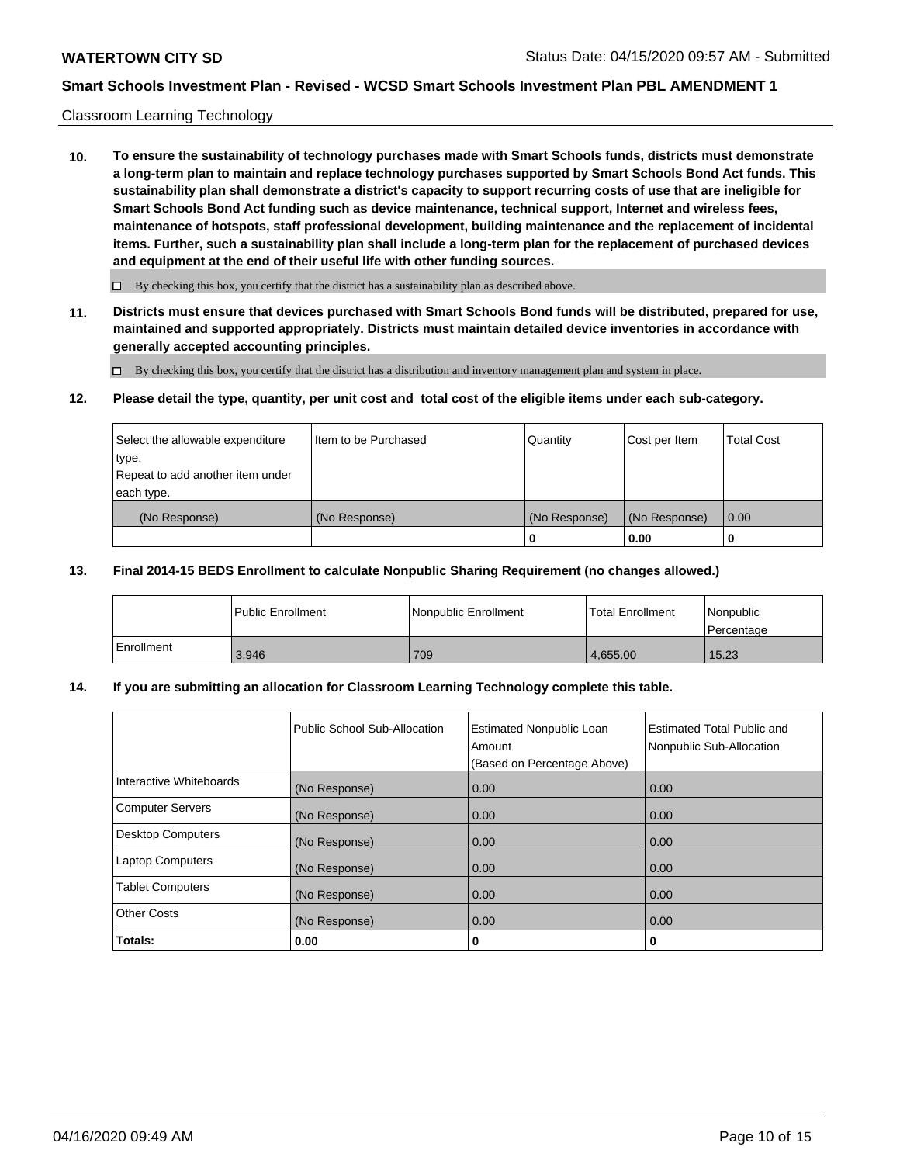## Classroom Learning Technology

**10. To ensure the sustainability of technology purchases made with Smart Schools funds, districts must demonstrate a long-term plan to maintain and replace technology purchases supported by Smart Schools Bond Act funds. This sustainability plan shall demonstrate a district's capacity to support recurring costs of use that are ineligible for Smart Schools Bond Act funding such as device maintenance, technical support, Internet and wireless fees, maintenance of hotspots, staff professional development, building maintenance and the replacement of incidental items. Further, such a sustainability plan shall include a long-term plan for the replacement of purchased devices and equipment at the end of their useful life with other funding sources.**

 $\Box$  By checking this box, you certify that the district has a sustainability plan as described above.

**11. Districts must ensure that devices purchased with Smart Schools Bond funds will be distributed, prepared for use, maintained and supported appropriately. Districts must maintain detailed device inventories in accordance with generally accepted accounting principles.**

By checking this box, you certify that the district has a distribution and inventory management plan and system in place.

#### **12. Please detail the type, quantity, per unit cost and total cost of the eligible items under each sub-category.**

| Select the allowable expenditure<br>type.      | Item to be Purchased | Quantity      | Cost per Item | <b>Total Cost</b> |
|------------------------------------------------|----------------------|---------------|---------------|-------------------|
| Repeat to add another item under<br>each type. |                      |               |               |                   |
| (No Response)                                  | (No Response)        | (No Response) | (No Response) | 0.00              |
|                                                |                      | 0             | 0.00          |                   |

#### **13. Final 2014-15 BEDS Enrollment to calculate Nonpublic Sharing Requirement (no changes allowed.)**

|              | l Public Enrollment | <b>INonpublic Enrollment</b> | <b>Total Enrollment</b> | Nonpublic<br>l Percentage |
|--------------|---------------------|------------------------------|-------------------------|---------------------------|
| l Enrollment | 3.946               | 709                          | 4.655.00                | 15.23                     |

## **14. If you are submitting an allocation for Classroom Learning Technology complete this table.**

|                         | Public School Sub-Allocation | <b>Estimated Nonpublic Loan</b><br>Amount<br>(Based on Percentage Above) | Estimated Total Public and<br>Nonpublic Sub-Allocation |
|-------------------------|------------------------------|--------------------------------------------------------------------------|--------------------------------------------------------|
| Interactive Whiteboards | (No Response)                | 0.00                                                                     | 0.00                                                   |
| Computer Servers        | (No Response)                | 0.00                                                                     | 0.00                                                   |
| Desktop Computers       | (No Response)                | 0.00                                                                     | 0.00                                                   |
| <b>Laptop Computers</b> | (No Response)                | 0.00                                                                     | 0.00                                                   |
| <b>Tablet Computers</b> | (No Response)                | 0.00                                                                     | 0.00                                                   |
| Other Costs             | (No Response)                | 0.00                                                                     | 0.00                                                   |
| Totals:                 | 0.00                         | 0                                                                        | 0                                                      |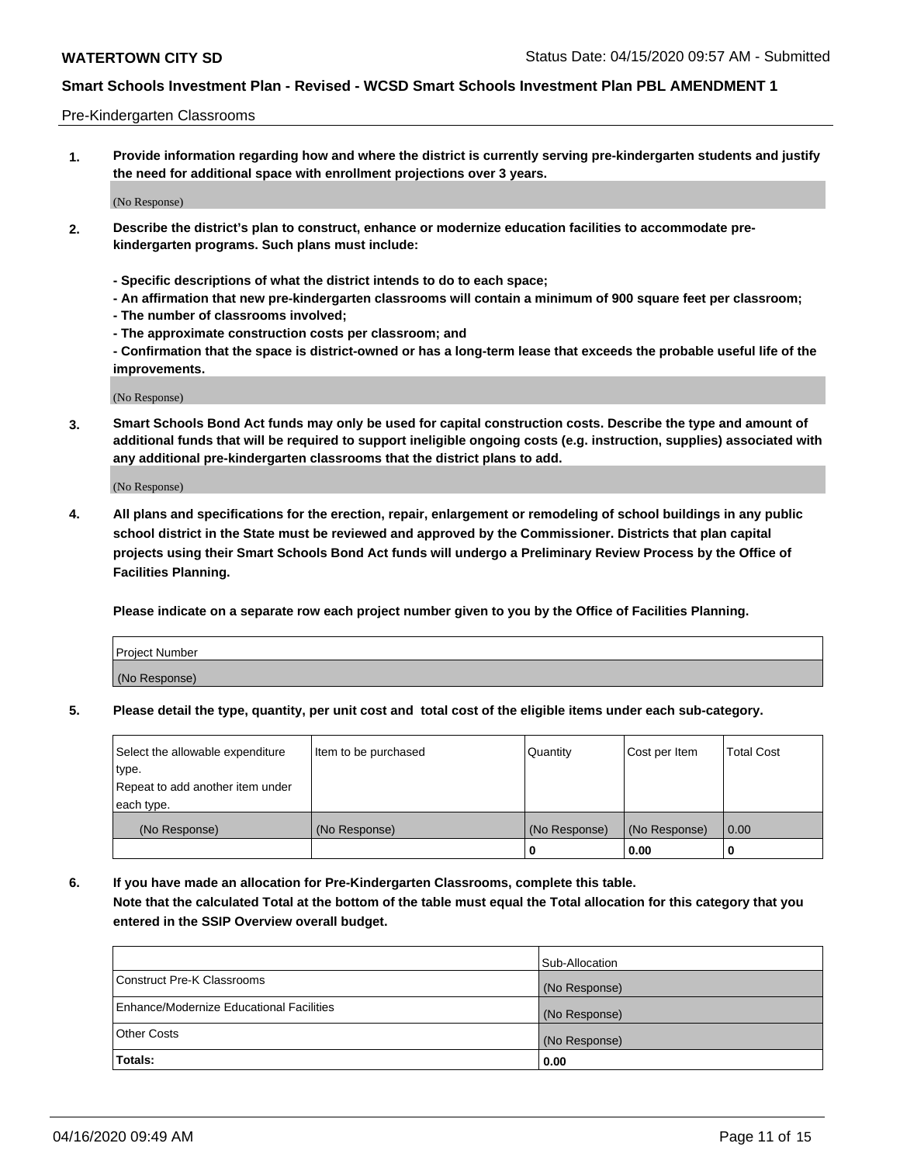#### Pre-Kindergarten Classrooms

**1. Provide information regarding how and where the district is currently serving pre-kindergarten students and justify the need for additional space with enrollment projections over 3 years.**

(No Response)

- **2. Describe the district's plan to construct, enhance or modernize education facilities to accommodate prekindergarten programs. Such plans must include:**
	- **Specific descriptions of what the district intends to do to each space;**
	- **An affirmation that new pre-kindergarten classrooms will contain a minimum of 900 square feet per classroom;**
	- **The number of classrooms involved;**
	- **The approximate construction costs per classroom; and**
	- **Confirmation that the space is district-owned or has a long-term lease that exceeds the probable useful life of the improvements.**

(No Response)

**3. Smart Schools Bond Act funds may only be used for capital construction costs. Describe the type and amount of additional funds that will be required to support ineligible ongoing costs (e.g. instruction, supplies) associated with any additional pre-kindergarten classrooms that the district plans to add.**

(No Response)

**4. All plans and specifications for the erection, repair, enlargement or remodeling of school buildings in any public school district in the State must be reviewed and approved by the Commissioner. Districts that plan capital projects using their Smart Schools Bond Act funds will undergo a Preliminary Review Process by the Office of Facilities Planning.**

**Please indicate on a separate row each project number given to you by the Office of Facilities Planning.**

| Project Number |  |
|----------------|--|
| (No Response)  |  |
|                |  |

**5. Please detail the type, quantity, per unit cost and total cost of the eligible items under each sub-category.**

| Select the allowable expenditure | Item to be purchased | Quantity      | Cost per Item | <b>Total Cost</b> |
|----------------------------------|----------------------|---------------|---------------|-------------------|
| type.                            |                      |               |               |                   |
| Repeat to add another item under |                      |               |               |                   |
| each type.                       |                      |               |               |                   |
| (No Response)                    | (No Response)        | (No Response) | (No Response) | 0.00              |
|                                  |                      | υ             | 0.00          |                   |

**6. If you have made an allocation for Pre-Kindergarten Classrooms, complete this table. Note that the calculated Total at the bottom of the table must equal the Total allocation for this category that you entered in the SSIP Overview overall budget.**

|                                          | Sub-Allocation |
|------------------------------------------|----------------|
| Construct Pre-K Classrooms               | (No Response)  |
| Enhance/Modernize Educational Facilities | (No Response)  |
| <b>Other Costs</b>                       | (No Response)  |
| Totals:                                  | 0.00           |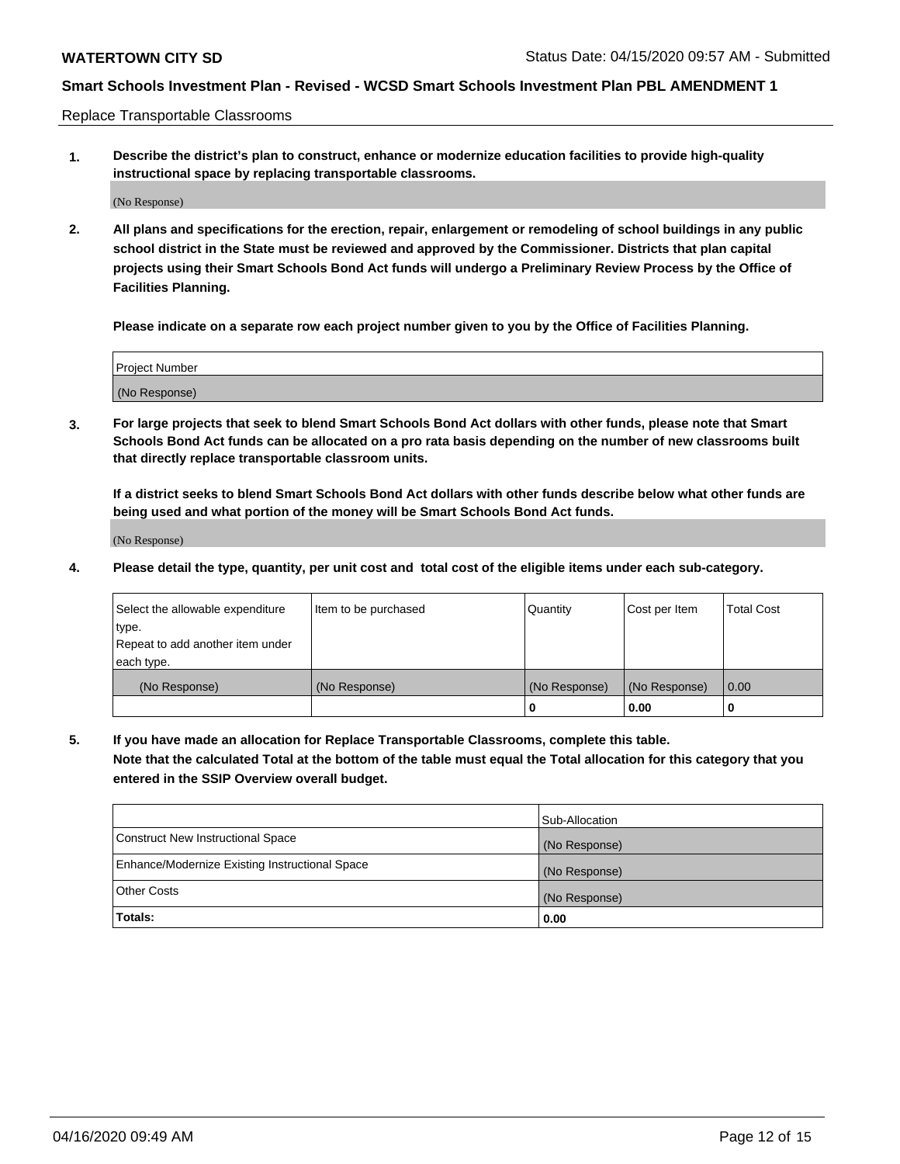Replace Transportable Classrooms

**1. Describe the district's plan to construct, enhance or modernize education facilities to provide high-quality instructional space by replacing transportable classrooms.**

(No Response)

**2. All plans and specifications for the erection, repair, enlargement or remodeling of school buildings in any public school district in the State must be reviewed and approved by the Commissioner. Districts that plan capital projects using their Smart Schools Bond Act funds will undergo a Preliminary Review Process by the Office of Facilities Planning.**

**Please indicate on a separate row each project number given to you by the Office of Facilities Planning.**

| Project Number |  |
|----------------|--|
|                |  |
|                |  |
|                |  |
| (No Response)  |  |
|                |  |
|                |  |

**3. For large projects that seek to blend Smart Schools Bond Act dollars with other funds, please note that Smart Schools Bond Act funds can be allocated on a pro rata basis depending on the number of new classrooms built that directly replace transportable classroom units.**

**If a district seeks to blend Smart Schools Bond Act dollars with other funds describe below what other funds are being used and what portion of the money will be Smart Schools Bond Act funds.**

(No Response)

**4. Please detail the type, quantity, per unit cost and total cost of the eligible items under each sub-category.**

| Select the allowable expenditure | Item to be purchased | Quantity      | Cost per Item | Total Cost |
|----------------------------------|----------------------|---------------|---------------|------------|
| ∣type.                           |                      |               |               |            |
| Repeat to add another item under |                      |               |               |            |
| each type.                       |                      |               |               |            |
| (No Response)                    | (No Response)        | (No Response) | (No Response) | 0.00       |
|                                  |                      | u             | 0.00          |            |

**5. If you have made an allocation for Replace Transportable Classrooms, complete this table. Note that the calculated Total at the bottom of the table must equal the Total allocation for this category that you entered in the SSIP Overview overall budget.**

|                                                | Sub-Allocation |
|------------------------------------------------|----------------|
| Construct New Instructional Space              | (No Response)  |
| Enhance/Modernize Existing Instructional Space | (No Response)  |
| <b>Other Costs</b>                             | (No Response)  |
| Totals:                                        | 0.00           |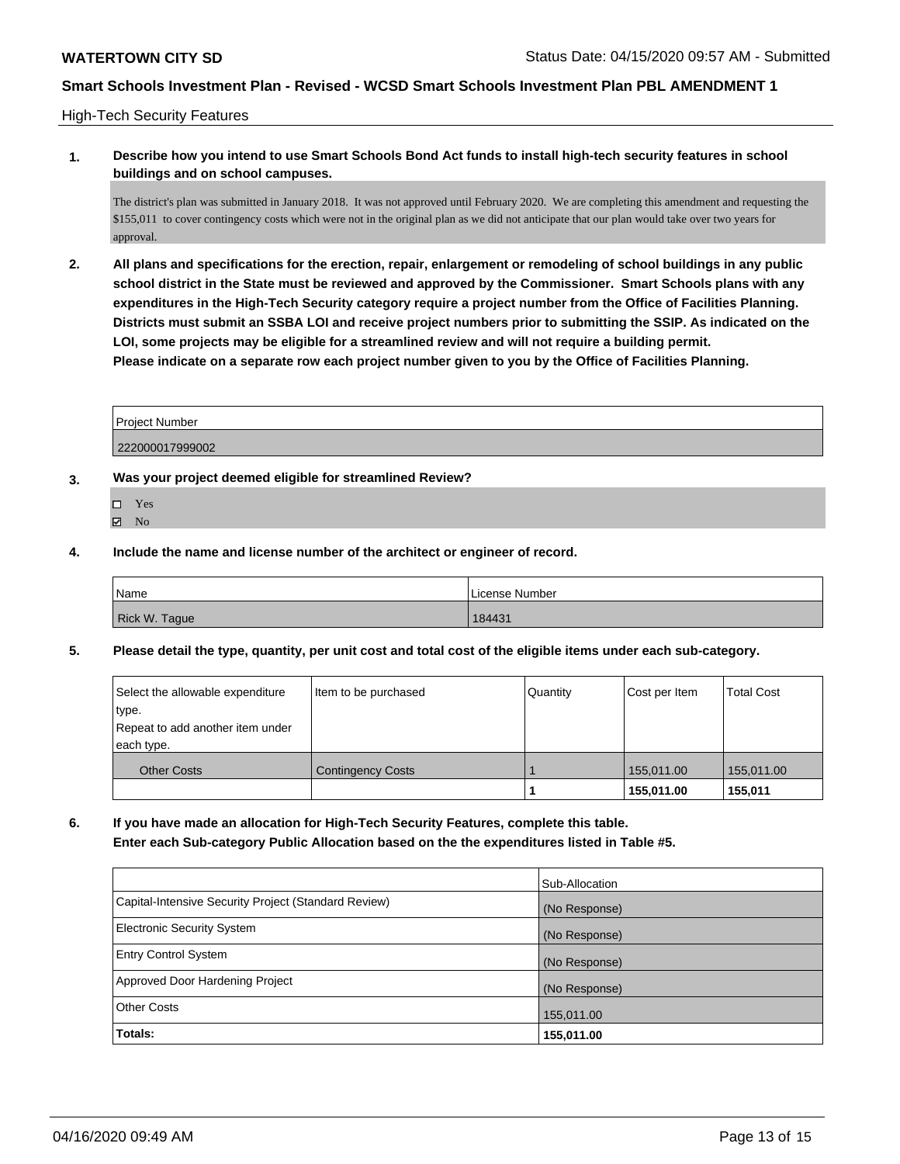High-Tech Security Features

**1. Describe how you intend to use Smart Schools Bond Act funds to install high-tech security features in school buildings and on school campuses.**

The district's plan was submitted in January 2018. It was not approved until February 2020. We are completing this amendment and requesting the \$155,011 to cover contingency costs which were not in the original plan as we did not anticipate that our plan would take over two years for approval.

**2. All plans and specifications for the erection, repair, enlargement or remodeling of school buildings in any public school district in the State must be reviewed and approved by the Commissioner. Smart Schools plans with any expenditures in the High-Tech Security category require a project number from the Office of Facilities Planning. Districts must submit an SSBA LOI and receive project numbers prior to submitting the SSIP. As indicated on the LOI, some projects may be eligible for a streamlined review and will not require a building permit. Please indicate on a separate row each project number given to you by the Office of Facilities Planning.**

| <b>Project Number</b> |  |
|-----------------------|--|
| 222000017999002       |  |

- **3. Was your project deemed eligible for streamlined Review?**
	- Yes
	- **Z** No
- **4. Include the name and license number of the architect or engineer of record.**

| Name          | License Number |
|---------------|----------------|
| Rick W. Tague | 184431         |

**5. Please detail the type, quantity, per unit cost and total cost of the eligible items under each sub-category.**

| Select the allowable expenditure<br>type.<br>Repeat to add another item under<br>each type. | Item to be purchased     | Quantity | Cost per Item | <b>Total Cost</b> |
|---------------------------------------------------------------------------------------------|--------------------------|----------|---------------|-------------------|
| <b>Other Costs</b>                                                                          | <b>Contingency Costs</b> |          | 155.011.00    | 155,011.00        |
|                                                                                             |                          |          | 155,011.00    | 155,011           |

**6. If you have made an allocation for High-Tech Security Features, complete this table. Enter each Sub-category Public Allocation based on the the expenditures listed in Table #5.**

|                                                      | Sub-Allocation |
|------------------------------------------------------|----------------|
| Capital-Intensive Security Project (Standard Review) | (No Response)  |
| <b>Electronic Security System</b>                    | (No Response)  |
| <b>Entry Control System</b>                          | (No Response)  |
| Approved Door Hardening Project                      | (No Response)  |
| <b>Other Costs</b>                                   | 155,011.00     |
| Totals:                                              | 155,011.00     |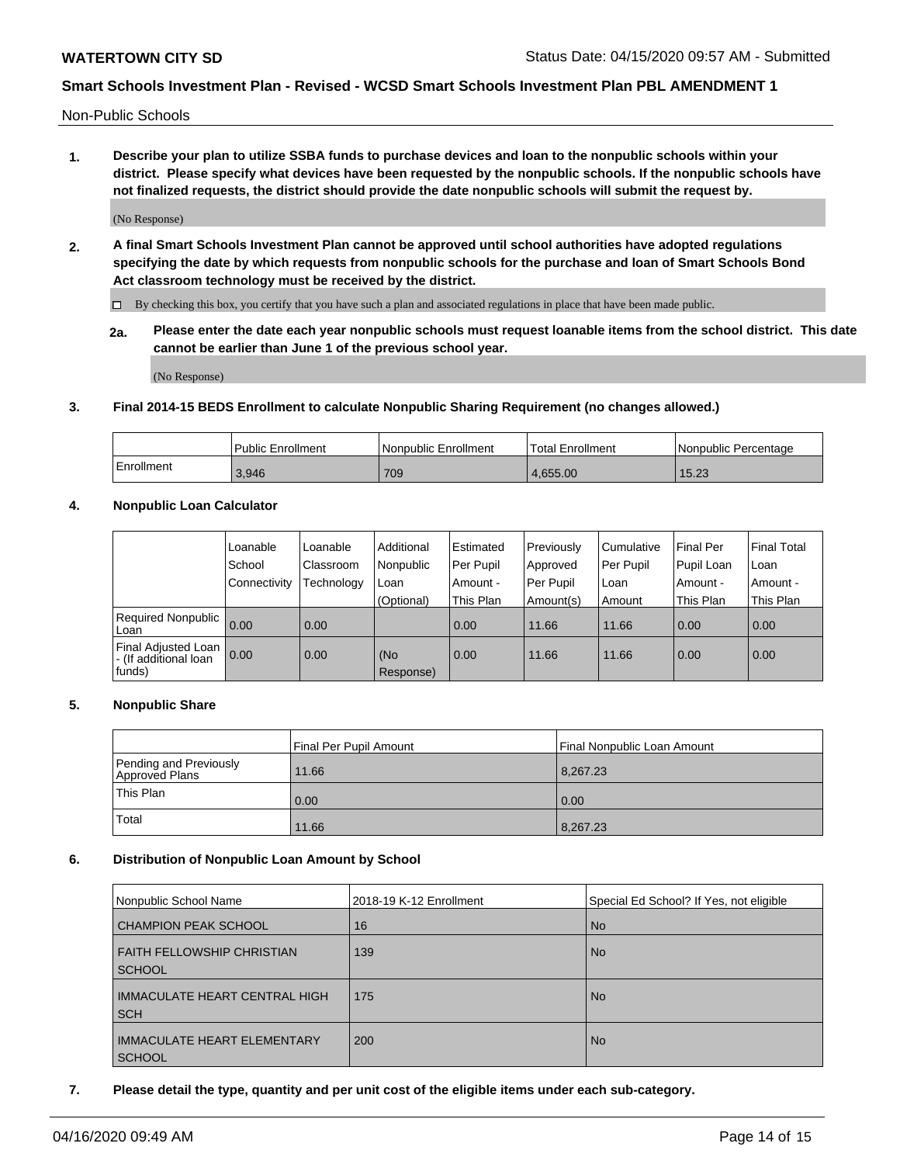Non-Public Schools

**1. Describe your plan to utilize SSBA funds to purchase devices and loan to the nonpublic schools within your district. Please specify what devices have been requested by the nonpublic schools. If the nonpublic schools have not finalized requests, the district should provide the date nonpublic schools will submit the request by.**

(No Response)

**2. A final Smart Schools Investment Plan cannot be approved until school authorities have adopted regulations specifying the date by which requests from nonpublic schools for the purchase and loan of Smart Schools Bond Act classroom technology must be received by the district.**

 $\Box$  By checking this box, you certify that you have such a plan and associated regulations in place that have been made public.

**2a. Please enter the date each year nonpublic schools must request loanable items from the school district. This date cannot be earlier than June 1 of the previous school year.**

(No Response)

## **3. Final 2014-15 BEDS Enrollment to calculate Nonpublic Sharing Requirement (no changes allowed.)**

|            | l Public Enrollment | Nonpublic Enrollment | Total Enrollment | l Nonpublic Percentage |
|------------|---------------------|----------------------|------------------|------------------------|
| Enrollment | 3.946               | 709                  | 4.655.00         | 15.23                  |

## **4. Nonpublic Loan Calculator**

|                                                        | Loanable     | Loanable   | Additional       | Estimated | Previously | Cumulative | Final Per  | <b>Final Total</b> |
|--------------------------------------------------------|--------------|------------|------------------|-----------|------------|------------|------------|--------------------|
|                                                        | School       | Classroom  | Nonpublic        | Per Pupil | Approved   | Per Pupil  | Pupil Loan | Loan               |
|                                                        | Connectivity | Technology | Loan             | Amount -  | Per Pupil  | Loan       | Amount -   | Amount -           |
|                                                        |              |            | (Optional)       | This Plan | Amount(s)  | Amount     | This Plan  | This Plan          |
| Required Nonpublic<br>Loan                             | 0.00         | 0.00       |                  | 0.00      | 11.66      | 11.66      | 0.00       | 0.00               |
| Final Adjusted Loan<br>- (If additional loan<br>funds) | 0.00         | 0.00       | (No<br>Response) | 0.00      | 11.66      | 11.66      | 0.00       | 0.00               |

## **5. Nonpublic Share**

|                                          | Final Per Pupil Amount | Final Nonpublic Loan Amount |
|------------------------------------------|------------------------|-----------------------------|
| Pending and Previously<br>Approved Plans | 11.66                  | 8,267.23                    |
| This Plan                                | 0.00                   | 0.00                        |
| Total                                    | 11.66                  | 8,267.23                    |

## **6. Distribution of Nonpublic Loan Amount by School**

| Nonpublic School Name                               | 2018-19 K-12 Enrollment | Special Ed School? If Yes, not eligible |
|-----------------------------------------------------|-------------------------|-----------------------------------------|
| <b>CHAMPION PEAK SCHOOL</b>                         | 16                      | <b>No</b>                               |
| <b>FAITH FELLOWSHIP CHRISTIAN</b><br><b>SCHOOL</b>  | 139                     | <b>No</b>                               |
| <b>IMMACULATE HEART CENTRAL HIGH</b><br><b>SCH</b>  | 175                     | <b>No</b>                               |
| <b>IMMACULATE HEART ELEMENTARY</b><br><b>SCHOOL</b> | 200                     | <b>No</b>                               |

**7. Please detail the type, quantity and per unit cost of the eligible items under each sub-category.**